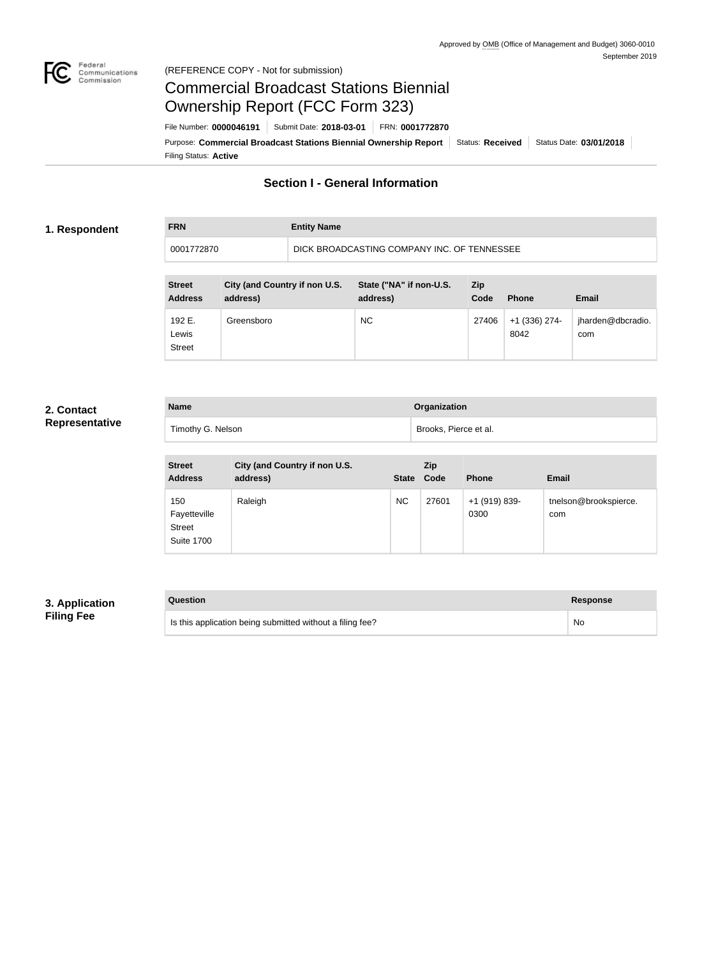

### Federal<br>Communications<br>Commission (REFERENCE COPY - Not for submission)

# Commercial Broadcast Stations Biennial Ownership Report (FCC Form 323)

**FRN Entity Name**

Filing Status: **Active** Purpose: Commercial Broadcast Stations Biennial Ownership Report Status: Received Status Date: 03/01/2018 File Number: **0000046191** Submit Date: **2018-03-01** FRN: **0001772870**

## **Section I - General Information**

### **1. Respondent**

## 0001772870 DICK BROADCASTING COMPANY INC. OF TENNESSEE

| <b>Street</b><br><b>Address</b>  | City (and Country if non U.S.<br>address) | State ("NA" if non-U.S.<br>address) | <b>Zip</b><br>Code | <b>Phone</b>          | <b>Email</b>             |
|----------------------------------|-------------------------------------------|-------------------------------------|--------------------|-----------------------|--------------------------|
| 192 E.<br>Lewis<br><b>Street</b> | Greensboro                                | <b>NC</b>                           | 27406              | +1 (336) 274-<br>8042 | jharden@dbcradio.<br>com |

## **2. Contact Representative**

| <b>Name</b>       | Organization          |
|-------------------|-----------------------|
| Timothy G. Nelson | Brooks, Pierce et al. |

| <b>Street</b><br><b>Address</b>                           | City (and Country if non U.S.<br>address) | State Code | <b>Zip</b> | <b>Phone</b>          | <b>Email</b>                 |
|-----------------------------------------------------------|-------------------------------------------|------------|------------|-----------------------|------------------------------|
| 150<br>Fayetteville<br><b>Street</b><br><b>Suite 1700</b> | Raleigh                                   | <b>NC</b>  | 27601      | +1 (919) 839-<br>0300 | tnelson@brookspierce.<br>com |

## **3. Application Filing Fee**

| Question                                                  | Response  |
|-----------------------------------------------------------|-----------|
| Is this application being submitted without a filing fee? | <b>No</b> |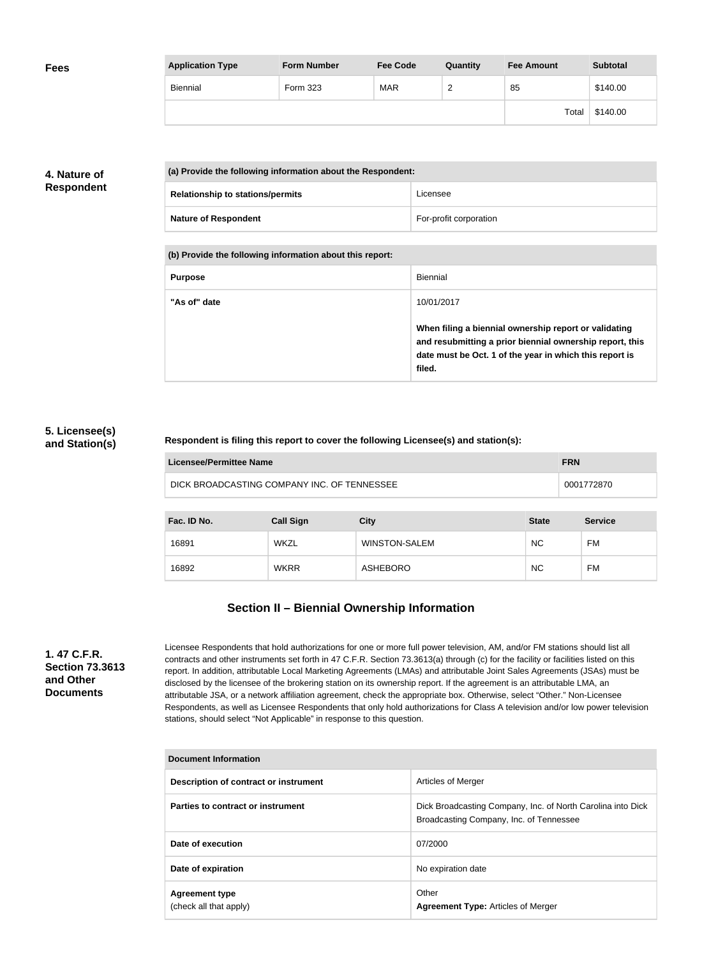| <b>Fees</b> | <b>Application Type</b> | <b>Form Number</b> | <b>Fee Code</b> | Quantity      | <b>Fee Amount</b> | <b>Subtotal</b> |
|-------------|-------------------------|--------------------|-----------------|---------------|-------------------|-----------------|
|             | Biennial                | Form 323           | <b>MAR</b>      | ີ<br><u>_</u> | 85                | \$140.00        |
|             |                         |                    |                 |               | Total             | \$140.00        |

## **4. Nature of Respondent**

| (a) Provide the following information about the Respondent: |                        |
|-------------------------------------------------------------|------------------------|
| <b>Relationship to stations/permits</b>                     | Licensee               |
| <b>Nature of Respondent</b>                                 | For-profit corporation |

**(b) Provide the following information about this report:**

| <b>Purpose</b> | Biennial                                                                                                                                                                               |
|----------------|----------------------------------------------------------------------------------------------------------------------------------------------------------------------------------------|
| "As of" date   | 10/01/2017                                                                                                                                                                             |
|                | When filing a biennial ownership report or validating<br>and resubmitting a prior biennial ownership report, this<br>date must be Oct. 1 of the year in which this report is<br>filed. |

## **5. Licensee(s) and Station(s)**

### **Respondent is filing this report to cover the following Licensee(s) and station(s):**

| Licensee/Permittee Name                     | <b>FRN</b> |
|---------------------------------------------|------------|
| DICK BROADCASTING COMPANY INC. OF TENNESSEE | 0001772870 |

| Fac. ID No. | <b>Call Sign</b> | <b>City</b>          | <b>State</b> | <b>Service</b> |
|-------------|------------------|----------------------|--------------|----------------|
| 16891       | <b>WKZL</b>      | <b>WINSTON-SALEM</b> | <b>NC</b>    | FM             |
| 16892       | <b>WKRR</b>      | ASHEBORO             | <b>NC</b>    | FM             |

## **Section II – Biennial Ownership Information**

**1. 47 C.F.R. Section 73.3613 and Other Documents**

Licensee Respondents that hold authorizations for one or more full power television, AM, and/or FM stations should list all contracts and other instruments set forth in 47 C.F.R. Section 73.3613(a) through (c) for the facility or facilities listed on this report. In addition, attributable Local Marketing Agreements (LMAs) and attributable Joint Sales Agreements (JSAs) must be disclosed by the licensee of the brokering station on its ownership report. If the agreement is an attributable LMA, an attributable JSA, or a network affiliation agreement, check the appropriate box. Otherwise, select "Other." Non-Licensee Respondents, as well as Licensee Respondents that only hold authorizations for Class A television and/or low power television stations, should select "Not Applicable" in response to this question.

| <b>Document Information</b>                     |                                                                                                        |  |
|-------------------------------------------------|--------------------------------------------------------------------------------------------------------|--|
| Description of contract or instrument           | Articles of Merger                                                                                     |  |
| Parties to contract or instrument               | Dick Broadcasting Company, Inc. of North Carolina into Dick<br>Broadcasting Company, Inc. of Tennessee |  |
| Date of execution                               | 07/2000                                                                                                |  |
| Date of expiration                              | No expiration date                                                                                     |  |
| <b>Agreement type</b><br>(check all that apply) | Other<br><b>Agreement Type: Articles of Merger</b>                                                     |  |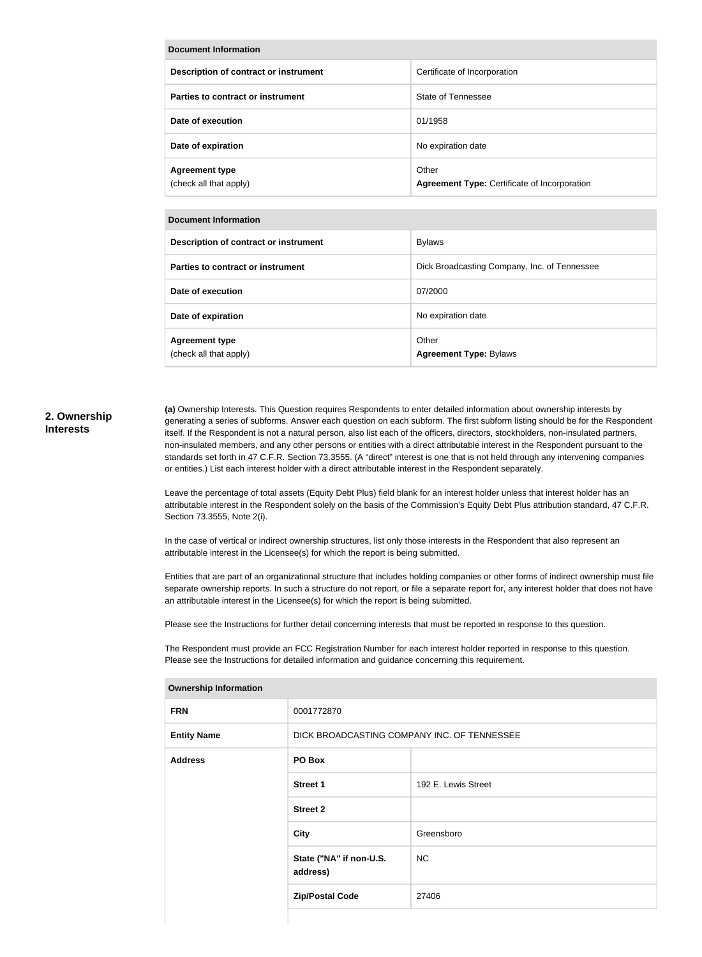| Document Information                            |                                                              |  |
|-------------------------------------------------|--------------------------------------------------------------|--|
| Description of contract or instrument           | Certificate of Incorporation                                 |  |
| Parties to contract or instrument               | State of Tennessee                                           |  |
| Date of execution                               | 01/1958                                                      |  |
| Date of expiration                              | No expiration date                                           |  |
| <b>Agreement type</b><br>(check all that apply) | Other<br><b>Agreement Type: Certificate of Incorporation</b> |  |

| Document Information                            |                                              |  |
|-------------------------------------------------|----------------------------------------------|--|
| Description of contract or instrument           | <b>Bylaws</b>                                |  |
| Parties to contract or instrument               | Dick Broadcasting Company, Inc. of Tennessee |  |
| Date of execution                               | 07/2000                                      |  |
| Date of expiration                              | No expiration date                           |  |
| <b>Agreement type</b><br>(check all that apply) | Other<br><b>Agreement Type: Bylaws</b>       |  |

#### **2. Ownership Interests**

**(a)** Ownership Interests. This Question requires Respondents to enter detailed information about ownership interests by generating a series of subforms. Answer each question on each subform. The first subform listing should be for the Respondent itself. If the Respondent is not a natural person, also list each of the officers, directors, stockholders, non-insulated partners, non-insulated members, and any other persons or entities with a direct attributable interest in the Respondent pursuant to the standards set forth in 47 C.F.R. Section 73.3555. (A "direct" interest is one that is not held through any intervening companies or entities.) List each interest holder with a direct attributable interest in the Respondent separately.

Leave the percentage of total assets (Equity Debt Plus) field blank for an interest holder unless that interest holder has an attributable interest in the Respondent solely on the basis of the Commission's Equity Debt Plus attribution standard, 47 C.F.R. Section 73.3555, Note 2(i).

In the case of vertical or indirect ownership structures, list only those interests in the Respondent that also represent an attributable interest in the Licensee(s) for which the report is being submitted.

Entities that are part of an organizational structure that includes holding companies or other forms of indirect ownership must file separate ownership reports. In such a structure do not report, or file a separate report for, any interest holder that does not have an attributable interest in the Licensee(s) for which the report is being submitted.

Please see the Instructions for further detail concerning interests that must be reported in response to this question.

The Respondent must provide an FCC Registration Number for each interest holder reported in response to this question. Please see the Instructions for detailed information and guidance concerning this requirement.

| ווטוווטוווטווון שוופוסוואט |                                             |                     |  |
|----------------------------|---------------------------------------------|---------------------|--|
| <b>FRN</b>                 | 0001772870                                  |                     |  |
| <b>Entity Name</b>         | DICK BROADCASTING COMPANY INC. OF TENNESSEE |                     |  |
| <b>Address</b>             | PO Box                                      |                     |  |
|                            | <b>Street 1</b>                             | 192 E. Lewis Street |  |
|                            | <b>Street 2</b>                             |                     |  |
|                            | <b>City</b>                                 | Greensboro          |  |
|                            | State ("NA" if non-U.S.<br>address)         | <b>NC</b>           |  |
|                            | <b>Zip/Postal Code</b>                      | 27406               |  |
|                            |                                             |                     |  |

**Ownership Information**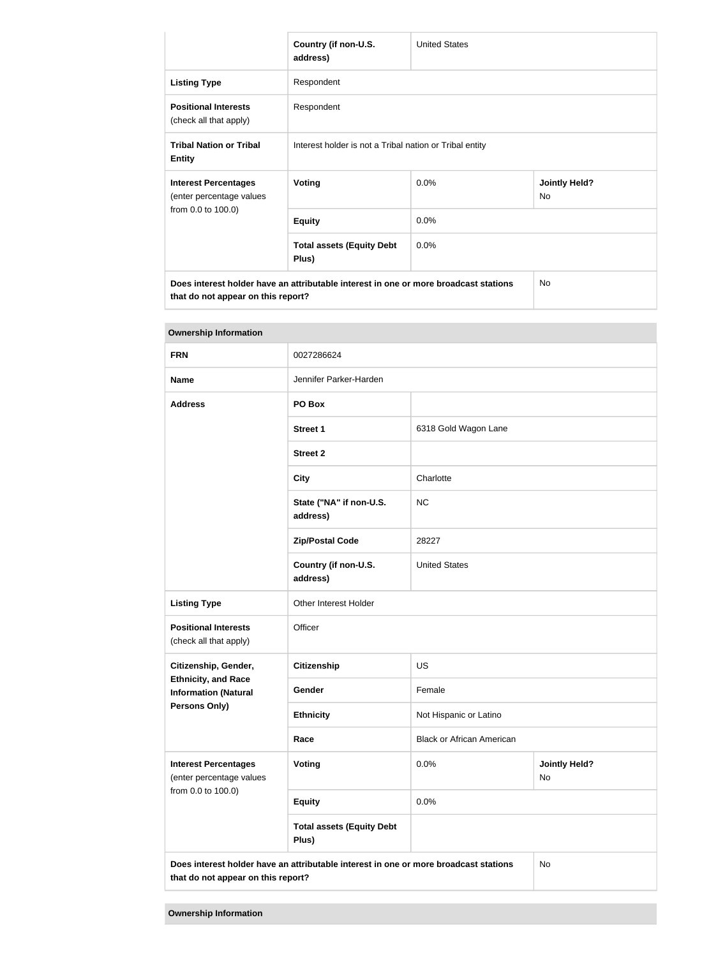|                                                                                      | Country (if non-U.S.<br>address)                        | <b>United States</b> |                                   |  |
|--------------------------------------------------------------------------------------|---------------------------------------------------------|----------------------|-----------------------------------|--|
| <b>Listing Type</b>                                                                  | Respondent                                              |                      |                                   |  |
| <b>Positional Interests</b><br>(check all that apply)                                | Respondent                                              |                      |                                   |  |
| <b>Tribal Nation or Tribal</b><br><b>Entity</b>                                      | Interest holder is not a Tribal nation or Tribal entity |                      |                                   |  |
| <b>Interest Percentages</b><br>(enter percentage values                              | <b>Voting</b>                                           | 0.0%                 | <b>Jointly Held?</b><br><b>No</b> |  |
| from 0.0 to 100.0)                                                                   | <b>Equity</b>                                           | 0.0%                 |                                   |  |
|                                                                                      | <b>Total assets (Equity Debt</b><br>Plus)               | 0.0%                 |                                   |  |
| Does interest holder have an attributable interest in one or more broadcast stations |                                                         |                      | <b>No</b>                         |  |

**that do not appear on this report?**

| <b>Ownership Information</b>                              |                                                                                      |                                    |    |  |
|-----------------------------------------------------------|--------------------------------------------------------------------------------------|------------------------------------|----|--|
| <b>FRN</b>                                                | 0027286624                                                                           |                                    |    |  |
| <b>Name</b>                                               | Jennifer Parker-Harden                                                               |                                    |    |  |
| <b>Address</b>                                            | PO Box                                                                               |                                    |    |  |
|                                                           | <b>Street 1</b>                                                                      | 6318 Gold Wagon Lane               |    |  |
|                                                           | <b>Street 2</b>                                                                      |                                    |    |  |
|                                                           | <b>City</b>                                                                          | Charlotte                          |    |  |
|                                                           | State ("NA" if non-U.S.<br>address)                                                  | <b>NC</b>                          |    |  |
|                                                           | <b>Zip/Postal Code</b>                                                               | 28227                              |    |  |
|                                                           | Country (if non-U.S.<br>address)                                                     | <b>United States</b>               |    |  |
| <b>Listing Type</b>                                       | Other Interest Holder                                                                |                                    |    |  |
| <b>Positional Interests</b><br>(check all that apply)     | Officer                                                                              |                                    |    |  |
| Citizenship, Gender,                                      | <b>Citizenship</b>                                                                   | <b>US</b>                          |    |  |
| <b>Ethnicity, and Race</b><br><b>Information (Natural</b> | Gender                                                                               | Female                             |    |  |
| Persons Only)                                             | <b>Ethnicity</b>                                                                     | Not Hispanic or Latino             |    |  |
|                                                           | Race                                                                                 | <b>Black or African American</b>   |    |  |
| <b>Interest Percentages</b><br>(enter percentage values   | Voting                                                                               | 0.0%<br><b>Jointly Held?</b><br>No |    |  |
| from 0.0 to 100.0)                                        | <b>Equity</b>                                                                        | 0.0%                               |    |  |
|                                                           | <b>Total assets (Equity Debt</b><br>Plus)                                            |                                    |    |  |
| that do not appear on this report?                        | Does interest holder have an attributable interest in one or more broadcast stations |                                    | No |  |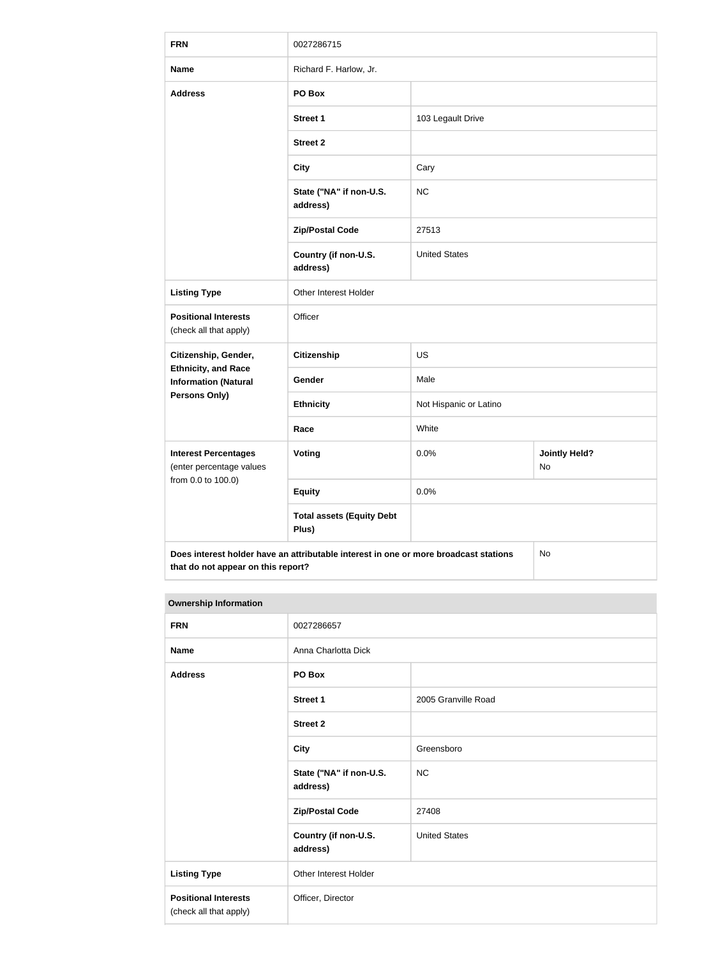| <b>FRN</b>                                                | 0027286715                                                                           |                                    |    |  |
|-----------------------------------------------------------|--------------------------------------------------------------------------------------|------------------------------------|----|--|
| <b>Name</b>                                               | Richard F. Harlow, Jr.                                                               |                                    |    |  |
| <b>Address</b>                                            | PO Box                                                                               |                                    |    |  |
|                                                           | <b>Street 1</b>                                                                      | 103 Legault Drive                  |    |  |
|                                                           | <b>Street 2</b>                                                                      |                                    |    |  |
|                                                           | <b>City</b>                                                                          | Cary                               |    |  |
|                                                           | State ("NA" if non-U.S.<br>address)                                                  | <b>NC</b>                          |    |  |
|                                                           | <b>Zip/Postal Code</b>                                                               | 27513                              |    |  |
|                                                           | Country (if non-U.S.<br>address)                                                     | <b>United States</b>               |    |  |
| <b>Listing Type</b>                                       | Other Interest Holder                                                                |                                    |    |  |
| <b>Positional Interests</b><br>(check all that apply)     | Officer                                                                              |                                    |    |  |
| Citizenship, Gender,                                      | Citizenship<br><b>US</b>                                                             |                                    |    |  |
| <b>Ethnicity, and Race</b><br><b>Information (Natural</b> | Gender                                                                               | Male                               |    |  |
| <b>Persons Only)</b>                                      | <b>Ethnicity</b>                                                                     | Not Hispanic or Latino             |    |  |
|                                                           | Race                                                                                 | White                              |    |  |
| <b>Interest Percentages</b><br>(enter percentage values   | Voting                                                                               | <b>Jointly Held?</b><br>0.0%<br>No |    |  |
| from 0.0 to 100.0)                                        | <b>Equity</b>                                                                        | 0.0%                               |    |  |
|                                                           | <b>Total assets (Equity Debt</b><br>Plus)                                            |                                    |    |  |
| that do not appear on this report?                        | Does interest holder have an attributable interest in one or more broadcast stations |                                    | No |  |

### **Ownership Information**

| <b>FRN</b>                                            | 0027286657                          |                      |  |
|-------------------------------------------------------|-------------------------------------|----------------------|--|
| <b>Name</b>                                           | Anna Charlotta Dick                 |                      |  |
| <b>Address</b>                                        | PO Box                              |                      |  |
|                                                       | Street 1                            | 2005 Granville Road  |  |
|                                                       | <b>Street 2</b>                     |                      |  |
|                                                       | <b>City</b>                         | Greensboro           |  |
|                                                       | State ("NA" if non-U.S.<br>address) | NC                   |  |
|                                                       | <b>Zip/Postal Code</b>              | 27408                |  |
|                                                       | Country (if non-U.S.<br>address)    | <b>United States</b> |  |
| <b>Listing Type</b>                                   | Other Interest Holder               |                      |  |
| <b>Positional Interests</b><br>(check all that apply) | Officer, Director                   |                      |  |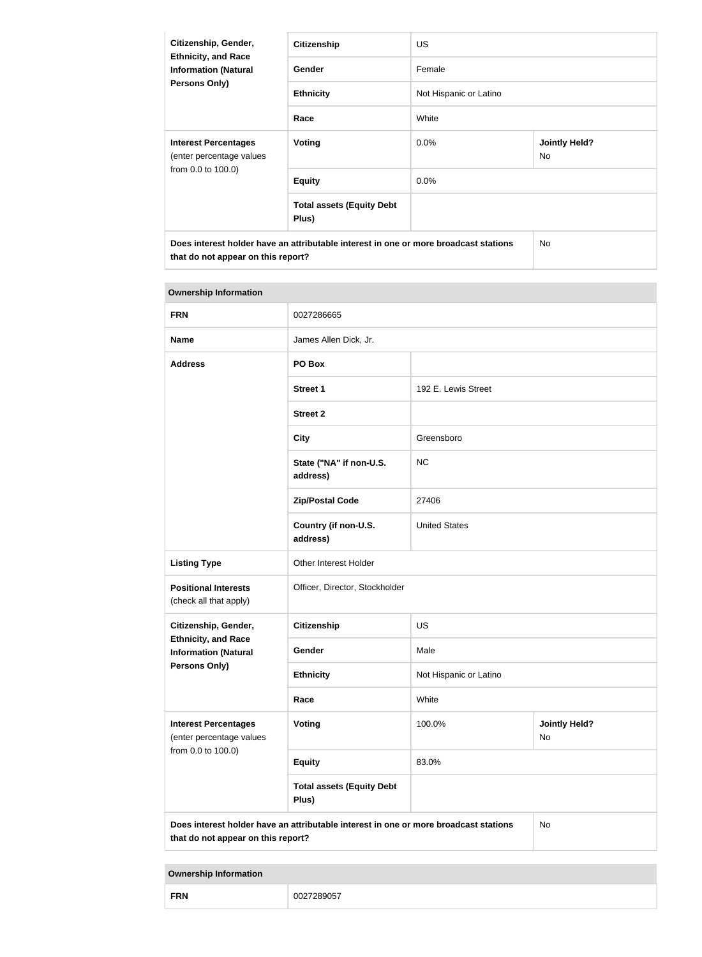| Citizenship, Gender,<br><b>Ethnicity, and Race</b><br><b>Information (Natural</b><br><b>Persons Only)</b>                  | <b>Citizenship</b>                        | <b>US</b>              |                                   |  |
|----------------------------------------------------------------------------------------------------------------------------|-------------------------------------------|------------------------|-----------------------------------|--|
|                                                                                                                            | Gender                                    | Female                 |                                   |  |
|                                                                                                                            | <b>Ethnicity</b>                          | Not Hispanic or Latino |                                   |  |
|                                                                                                                            | Race                                      | White                  |                                   |  |
| <b>Interest Percentages</b><br>(enter percentage values                                                                    | Voting                                    | $0.0\%$                | <b>Jointly Held?</b><br><b>No</b> |  |
| from 0.0 to 100.0)                                                                                                         | <b>Equity</b>                             | $0.0\%$                |                                   |  |
|                                                                                                                            | <b>Total assets (Equity Debt</b><br>Plus) |                        |                                   |  |
| Does interest holder have an attributable interest in one or more broadcast stations<br>that do not appear on this report? |                                           |                        | No.                               |  |

| <b>Ownership Information</b>                              |                                                                                      |                                             |    |
|-----------------------------------------------------------|--------------------------------------------------------------------------------------|---------------------------------------------|----|
| <b>FRN</b>                                                | 0027286665                                                                           |                                             |    |
| <b>Name</b>                                               | James Allen Dick, Jr.                                                                |                                             |    |
| <b>Address</b>                                            | PO Box                                                                               |                                             |    |
|                                                           | <b>Street 1</b>                                                                      | 192 E. Lewis Street                         |    |
|                                                           | <b>Street 2</b>                                                                      |                                             |    |
|                                                           | <b>City</b>                                                                          | Greensboro                                  |    |
|                                                           | State ("NA" if non-U.S.<br>address)                                                  | <b>NC</b>                                   |    |
|                                                           | <b>Zip/Postal Code</b>                                                               | 27406                                       |    |
|                                                           | Country (if non-U.S.<br>address)                                                     | <b>United States</b>                        |    |
| <b>Listing Type</b>                                       | Other Interest Holder                                                                |                                             |    |
| <b>Positional Interests</b><br>(check all that apply)     | Officer, Director, Stockholder                                                       |                                             |    |
| Citizenship, Gender,                                      | <b>Citizenship</b>                                                                   | <b>US</b>                                   |    |
| <b>Ethnicity, and Race</b><br><b>Information (Natural</b> | Gender                                                                               | Male                                        |    |
| <b>Persons Only)</b>                                      | <b>Ethnicity</b>                                                                     | Not Hispanic or Latino                      |    |
|                                                           | Race                                                                                 | White                                       |    |
| <b>Interest Percentages</b><br>(enter percentage values   | Voting                                                                               | 100.0%<br><b>Jointly Held?</b><br><b>No</b> |    |
| from 0.0 to 100.0)                                        | <b>Equity</b>                                                                        | 83.0%                                       |    |
|                                                           | <b>Total assets (Equity Debt</b><br>Plus)                                            |                                             |    |
| that do not appear on this report?                        | Does interest holder have an attributable interest in one or more broadcast stations |                                             | No |

**Ownership Information**

| <b>FRN</b> | --------<br>К<br>905<br>ונוצכ |
|------------|-------------------------------|
|------------|-------------------------------|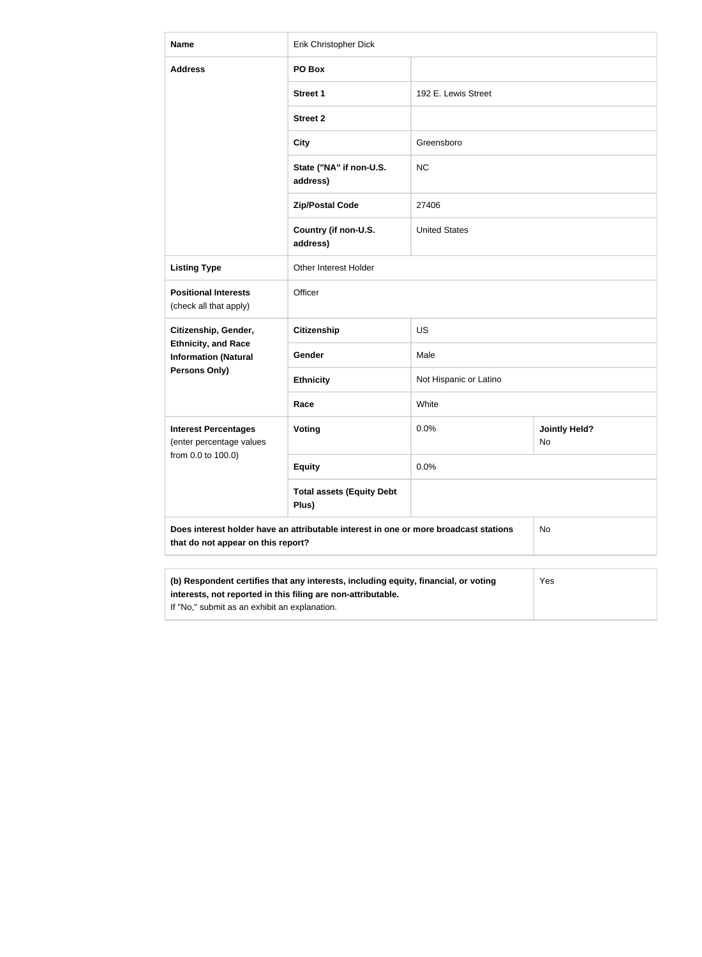| <b>Name</b>                                                                                                                | Erik Christopher Dick                                                               |                        |                            |  |
|----------------------------------------------------------------------------------------------------------------------------|-------------------------------------------------------------------------------------|------------------------|----------------------------|--|
| <b>Address</b>                                                                                                             | PO Box                                                                              |                        |                            |  |
|                                                                                                                            | <b>Street 1</b>                                                                     | 192 E. Lewis Street    |                            |  |
|                                                                                                                            | <b>Street 2</b>                                                                     |                        |                            |  |
|                                                                                                                            | <b>City</b>                                                                         | Greensboro             |                            |  |
|                                                                                                                            | State ("NA" if non-U.S.<br>address)                                                 | <b>NC</b>              |                            |  |
|                                                                                                                            | <b>Zip/Postal Code</b>                                                              | 27406                  |                            |  |
|                                                                                                                            | Country (if non-U.S.<br>address)                                                    | <b>United States</b>   |                            |  |
| <b>Listing Type</b>                                                                                                        | Other Interest Holder                                                               |                        |                            |  |
| <b>Positional Interests</b><br>(check all that apply)                                                                      | Officer                                                                             |                        |                            |  |
| Citizenship, Gender,                                                                                                       | <b>Citizenship</b>                                                                  | <b>US</b>              |                            |  |
| <b>Ethnicity, and Race</b><br><b>Information (Natural</b>                                                                  | Gender                                                                              | Male                   |                            |  |
| <b>Persons Only)</b>                                                                                                       | <b>Ethnicity</b>                                                                    | Not Hispanic or Latino |                            |  |
|                                                                                                                            | Race                                                                                | White                  |                            |  |
| <b>Interest Percentages</b><br>(enter percentage values                                                                    | <b>Voting</b>                                                                       | 0.0%                   | <b>Jointly Held?</b><br>No |  |
| from 0.0 to 100.0)                                                                                                         | <b>Equity</b>                                                                       | 0.0%                   |                            |  |
|                                                                                                                            | <b>Total assets (Equity Debt</b><br>Plus)                                           |                        |                            |  |
| Does interest holder have an attributable interest in one or more broadcast stations<br>that do not appear on this report? |                                                                                     | No                     |                            |  |
|                                                                                                                            | (b) Respondent certifies that any interests, including equity, financial, or voting |                        | Yes                        |  |
|                                                                                                                            |                                                                                     |                        |                            |  |

**interests, not reported in this filing are non-attributable.** If "No," submit as an exhibit an explanation.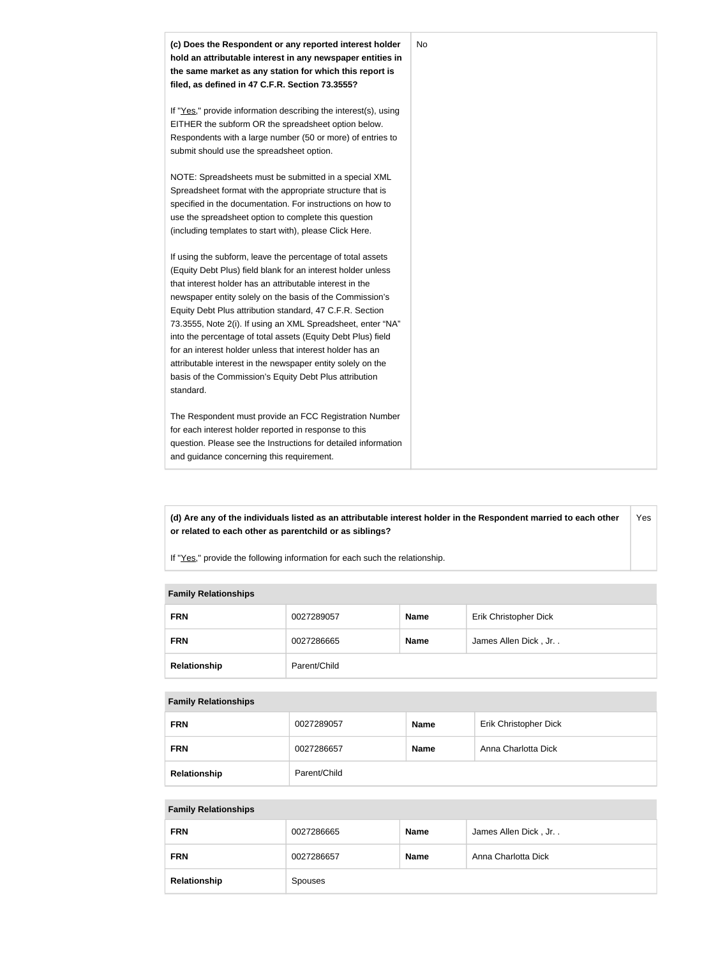

**(d) Are any of the individuals listed as an attributable interest holder in the Respondent married to each other or related to each other as parentchild or as siblings?** Yes

If "Yes," provide the following information for each such the relationship.

#### **Family Relationships**

| <b>FRN</b>   | 0027289057   | <b>Name</b> | Erik Christopher Dick |
|--------------|--------------|-------------|-----------------------|
| <b>FRN</b>   | 0027286665   | <b>Name</b> | James Allen Dick, Jr  |
| Relationship | Parent/Child |             |                       |

#### **Family Relationships**

| <b>FRN</b>   | 0027289057   | <b>Name</b> | Erik Christopher Dick |
|--------------|--------------|-------------|-----------------------|
| <b>FRN</b>   | 0027286657   | <b>Name</b> | Anna Charlotta Dick   |
| Relationship | Parent/Child |             |                       |

#### **Family Relationships**

| <b>FRN</b>   | 0027286665 | <b>Name</b> | James Allen Dick, Jr |
|--------------|------------|-------------|----------------------|
| <b>FRN</b>   | 0027286657 | <b>Name</b> | Anna Charlotta Dick  |
| Relationship | Spouses    |             |                      |